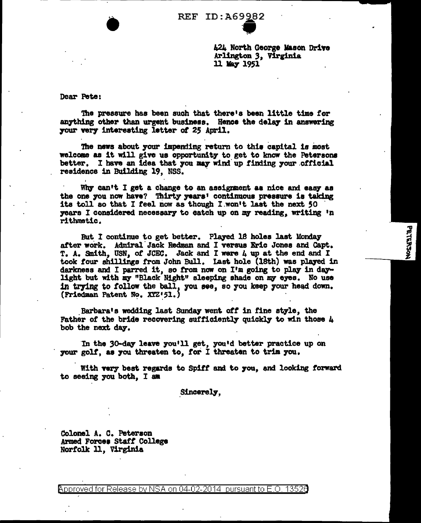

424 North George Mason Drive Arlington 3, Virginia 11 May 1951

PRIERSON

Dear Pete:

The pressure has been such that there's been little time for anything other than urgent business. Hence the delay in answering your very interesting letter of 25 April.

The news about your impending return to this capital is most welcome as it will give us opportunity to get to know the Petersons better. I have an idea that you may wind up finding your official residence in Building 19, NSS.

Why can't I get a change to an assignment as nice and easy as the one you now have? Thirty years' continuous pressure is taking its toll so that I feel now as though I won't last the next 50 years I considered necessary to catch up on my reading, writing 'n rithmetic.

But I continue to get better. Played 18 holes last Monday after work. Admiral Jack Redman and I versus Eric Jones and Capt. T. A. Smith, USN, of JCEC. Jack and I were 4 up at the end and I took four shillings from John Bull. Last hole (18th) was played in darkness and I parred it, so from now on I'm going to play in daylight but with my "Black Night" sleeping shade on my eyes. No use in trying to follow the ball, you see, so you keep your head down. (Friedman Patent No. XYZ'51.)

Barbara's wedding last Sunday went off in fine style, the Father of the bride recovering sufficiently quickly to win those  $\mu$ bob the next day.

In the 30-day leave you'll get, you'd better practice up on your golf, as you threaten to, for I threaten to trim you.

With very best regards to Spiff and to you, and looking forward to seeing you both. I am

Sincerely.

Colonel A. C. Peterson Armed Forces Staff College Norfolk 11, Virginia

<code>Approved</code> for Release by NSA on 04-02-2014  $\,$  pursuant to E.O. 1352 $0$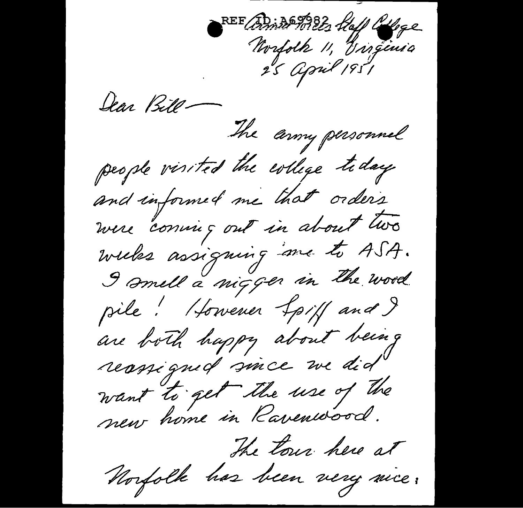REE British 1982, Haff Coffee<br>Morfolk 11, Gingenia<br>25 April 1951

Ilar Bitl-

The army personnel people visited the evilege today and informed me that orders were "conving out in about two weeks assigning me to ASA. I smell a nigger in the word pile! However Lpiff and I are both happy about being reassigned since we did

want to get the use of the

The tour here at

Norfolk has been very nice.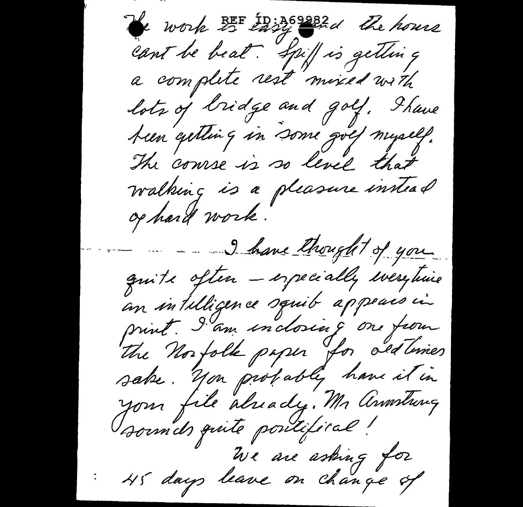work 25 target the house cant be beat. Spiff is getting a complete rest mixed with lots of bridge and golf. Shave been getting in some golf myself. The course is so level that walking is a pleasure innead op hard work. I have thought of you quite often - especially everytime an intilligence squib appears in print. I am inclosing on from The Norfolk paper for ald lines sake. You probably have it in your file already. Mr Annstrug sounds quite poutifical! We are asking for<br>45 days leave on change of